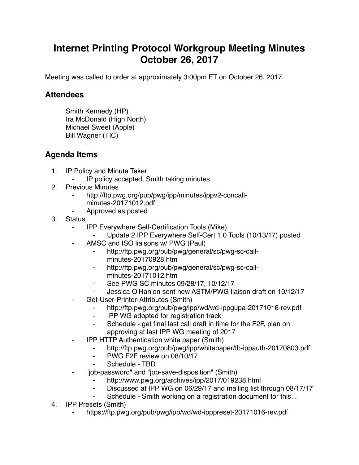## **Internet Printing Protocol Workgroup Meeting Minutes October 26, 2017**

Meeting was called to order at approximately 3:00pm ET on October 26, 2017.

## **Attendees**

Smith Kennedy (HP) Ira McDonald (High North) Michael Sweet (Apple) Bill Wagner (TIC)

## **Agenda Items**

- 1. IP Policy and Minute Taker
	- IP policy accepted, Smith taking minutes
- 2. Previous Minutes
	- http://ftp.pwg.org/pub/pwg/ipp/minutes/ippv2-concall
		- minutes-20171012.pdf
	- ⁃ Approved as posted
- 3. Status
	- ⁃ IPP Everywhere Self-Certification Tools (Mike)
		- Update 2 IPP Everywhere Self-Cert 1.0 Tools (10/13/17) posted
	- AMSC and ISO liaisons w/ PWG (Paul)
		- http://ftp.pwg.org/pub/pwg/general/sc/pwg-sc-callminutes-20170928.htm
		- ⁃ http://ftp.pwg.org/pub/pwg/general/sc/pwg-sc-callminutes-20171012.htm
		- See PWG SC minutes 09/28/17, 10/12/17
		- Jessica O'Hanlon sent new ASTM/PWG liaison draft on 10/12/17
	- Get-User-Printer-Attributes (Smith)
		- ⁃ http://ftp.pwg.org/pub/pwg/ipp/wd/wd-ippgupa-20171016-rev.pdf
		- ⁃ IPP WG adopted for registration track
		- ⁃ Schedule get final last call draft in time for the F2F, plan on approving at last IPP WG meeting of 2017
	- **IPP HTTP Authentication white paper (Smith)** 
		- ⁃ http://ftp.pwg.org/pub/pwg/ipp/whitepaper/tb-ippauth-20170803.pdf
		- ⁃ PWG F2F review on 08/10/17
		- Schedule TBD
	- ⁃ "job-password" and "job-save-disposition" (Smith)
		- http://www.pwg.org/archives/ipp/2017/019238.html
		- Discussed at IPP WG on 06/29/17 and mailing list through 08/17/17
		- Schedule Smith working on a registration document for this...
- 4. IPP Presets (Smith)
	- https://ftp.pwg.org/pub/pwg/ipp/wd/wd-ipppreset-20171016-rev.pdf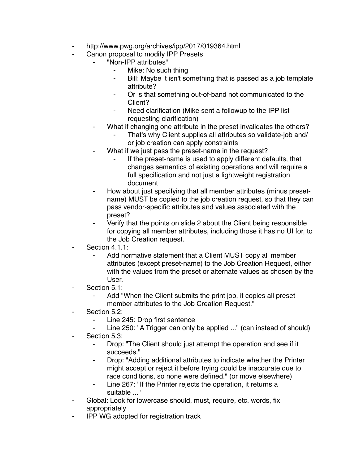- http://www.pwg.org/archives/ipp/2017/019364.html
- Canon proposal to modify IPP Presets
	- ⁃ "Non-IPP attributes"
		- Mike: No such thing
		- ⁃ Bill: Maybe it isn't something that is passed as a job template attribute?
		- Or is that something out-of-band not communicated to the Client?
		- Need clarification (Mike sent a followup to the IPP list requesting clarification)
	- What if changing one attribute in the preset invalidates the others?
		- That's why Client supplies all attributes so validate-job and/ or job creation can apply constraints
	- What if we just pass the preset-name in the request?
		- If the preset-name is used to apply different defaults, that changes semantics of existing operations and will require a full specification and not just a lightweight registration document
	- ⁃ How about just specifying that all member attributes (minus presetname) MUST be copied to the job creation request, so that they can pass vendor-specific attributes and values associated with the preset?
	- Verify that the points on slide 2 about the Client being responsible for copying all member attributes, including those it has no UI for, to the Job Creation request.
- Section 4.1.1:
	- Add normative statement that a Client MUST copy all member attributes (except preset-name) to the Job Creation Request, either with the values from the preset or alternate values as chosen by the User.
- Section 5.1:
	- ⁃ Add "When the Client submits the print job, it copies all preset member attributes to the Job Creation Request."
- Section 5.2:
	- ⁃ Line 245: Drop first sentence
	- Line 250: "A Trigger can only be applied ..." (can instead of should)
- Section 5.3:
	- ⁃ Drop: "The Client should just attempt the operation and see if it succeeds."
	- ⁃ Drop: "Adding additional attributes to indicate whether the Printer might accept or reject it before trying could be inaccurate due to race conditions, so none were defined." (or move elsewhere)
	- Line 267: "If the Printer rejects the operation, it returns a suitable ..."
- ⁃ Global: Look for lowercase should, must, require, etc. words, fix appropriately
- ⁃ IPP WG adopted for registration track